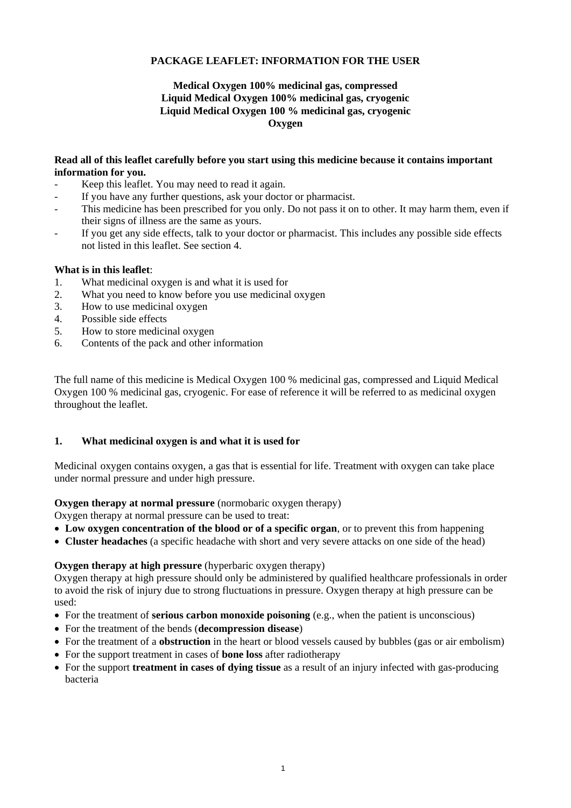## **PACKAGE LEAFLET: INFORMATION FOR THE USER**

## **Medical Oxygen 100% medicinal gas, compressed Liquid Medical Oxygen 100% medicinal gas, cryogenic Liquid Medical Oxygen 100 % medicinal gas, cryogenic Oxygen**

#### **Read all of this leaflet carefully before you start using this medicine because it contains important information for you.**

- Keep this leaflet. You may need to read it again.
- If you have any further questions, ask your doctor or pharmacist.
- This medicine has been prescribed for you only. Do not pass it on to other. It may harm them, even if their signs of illness are the same as yours.
- If you get any side effects, talk to your doctor or pharmacist. This includes any possible side effects not listed in this leaflet. See section 4.

### **What is in this leaflet**:

- 1. What medicinal oxygen is and what it is used for
- 2. What you need to know before you use medicinal oxygen
- 3. How to use medicinal oxygen
- 4. Possible side effects
- 5. How to store medicinal oxygen
- 6. Contents of the pack and other information

The full name of this medicine is Medical Oxygen 100 % medicinal gas, compressed and Liquid Medical Oxygen 100 % medicinal gas, cryogenic. For ease of reference it will be referred to as medicinal oxygen throughout the leaflet.

### **1. What medicinal oxygen is and what it is used for**

Medicinal oxygen contains oxygen, a gas that is essential for life. Treatment with oxygen can take place under normal pressure and under high pressure.

#### **Oxygen therapy at normal pressure** (normobaric oxygen therapy)

Oxygen therapy at normal pressure can be used to treat:

- **Low oxygen concentration of the blood or of a specific organ**, or to prevent this from happening
- **Cluster headaches** (a specific headache with short and very severe attacks on one side of the head)

## **Oxygen therapy at high pressure** (hyperbaric oxygen therapy)

Oxygen therapy at high pressure should only be administered by qualified healthcare professionals in order to avoid the risk of injury due to strong fluctuations in pressure. Oxygen therapy at high pressure can be used:

- For the treatment of **serious carbon monoxide poisoning** (e.g., when the patient is unconscious)
- For the treatment of the bends (**decompression disease**)
- For the treatment of a **obstruction** in the heart or blood vessels caused by bubbles (gas or air embolism)
- For the support treatment in cases of **bone loss** after radiotherapy
- For the support **treatment in cases of dying tissue** as a result of an injury infected with gas-producing bacteria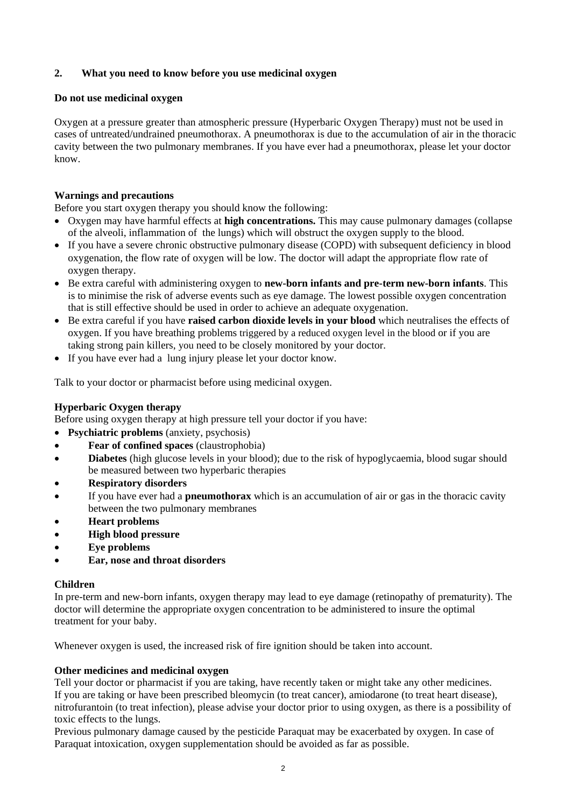## **2. What you need to know before you use medicinal oxygen**

### **Do not use medicinal oxygen**

Oxygen at a pressure greater than atmospheric pressure (Hyperbaric Oxygen Therapy) must not be used in cases of untreated/undrained pneumothorax. A pneumothorax is due to the accumulation of air in the thoracic cavity between the two pulmonary membranes. If you have ever had a pneumothorax, please let your doctor know.

### **Warnings and precautions**

Before you start oxygen therapy you should know the following:

- Oxygen may have harmful effects at **high concentrations.** This may cause pulmonary damages (collapse of the alveoli, inflammation of the lungs) which will obstruct the oxygen supply to the blood.
- If you have a severe chronic obstructive pulmonary disease (COPD) with subsequent deficiency in blood oxygenation, the flow rate of oxygen will be low. The doctor will adapt the appropriate flow rate of oxygen therapy.
- Be extra careful with administering oxygen to **new-born infants and pre-term new-born infants**. This is to minimise the risk of adverse events such as eye damage. The lowest possible oxygen concentration that is still effective should be used in order to achieve an adequate oxygenation.
- Be extra careful if you have **raised carbon dioxide levels in your blood** which neutralises the effects of oxygen. If you have breathing problems triggered by a reduced oxygen level in the blood or if you are taking strong pain killers, you need to be closely monitored by your doctor.
- If you have ever had a lung injury please let your doctor know.

Talk to your doctor or pharmacist before using medicinal oxygen.

## **Hyperbaric Oxygen therapy**

Before using oxygen therapy at high pressure tell your doctor if you have:

- **Psychiatric problems** (anxiety, psychosis)
- **Fear of confined spaces** (claustrophobia)
- **Diabetes** (high glucose levels in your blood); due to the risk of hypoglycaemia, blood sugar should be measured between two hyperbaric therapies
- **Respiratory disorders**
- If you have ever had a **pneumothorax** which is an accumulation of air or gas in the thoracic cavity between the two pulmonary membranes
- **Heart problems**
- **High blood pressure**
- **Eye problems**
- **Ear, nose and throat disorders**

### **Children**

In pre-term and new-born infants, oxygen therapy may lead to eye damage (retinopathy of prematurity). The doctor will determine the appropriate oxygen concentration to be administered to insure the optimal treatment for your baby.

Whenever oxygen is used, the increased risk of fire ignition should be taken into account.

### **Other medicines and medicinal oxygen**

Tell your doctor or pharmacist if you are taking, have recently taken or might take any other medicines. If you are taking or have been prescribed bleomycin (to treat cancer), amiodarone (to treat heart disease), nitrofurantoin (to treat infection), please advise your doctor prior to using oxygen, as there is a possibility of toxic effects to the lungs.

Previous pulmonary damage caused by the pesticide Paraquat may be exacerbated by oxygen. In case of Paraquat intoxication, oxygen supplementation should be avoided as far as possible.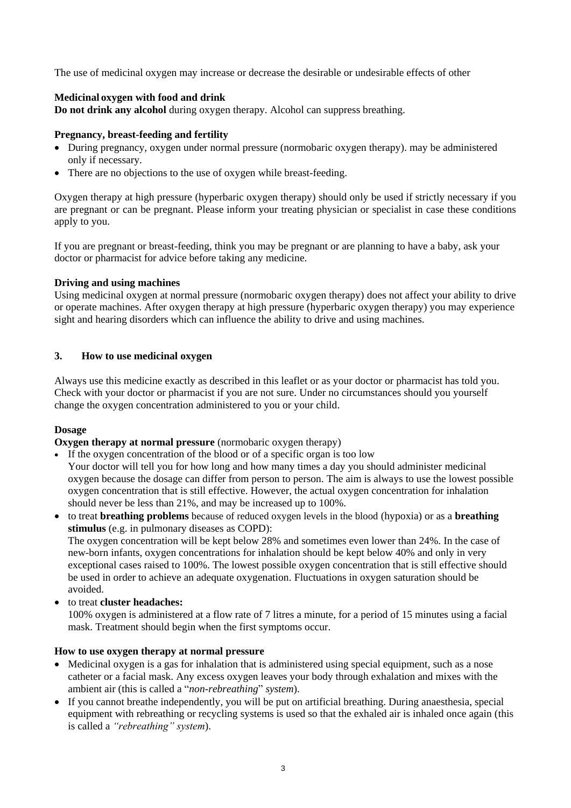The use of medicinal oxygen may increase or decrease the desirable or undesirable effects of other

## **Medicinal oxygen with food and drink**

**Do not drink any alcohol** during oxygen therapy. Alcohol can suppress breathing.

### **Pregnancy, breast-feeding and fertility**

- During pregnancy, oxygen under normal pressure (normobaric oxygen therapy). may be administered only if necessary.
- There are no objections to the use of oxygen while breast-feeding.

Oxygen therapy at high pressure (hyperbaric oxygen therapy) should only be used if strictly necessary if you are pregnant or can be pregnant. Please inform your treating physician or specialist in case these conditions apply to you.

If you are pregnant or breast-feeding, think you may be pregnant or are planning to have a baby, ask your doctor or pharmacist for advice before taking any medicine.

## **Driving and using machines**

Using medicinal oxygen at normal pressure (normobaric oxygen therapy) does not affect your ability to drive or operate machines. After oxygen therapy at high pressure (hyperbaric oxygen therapy) you may experience sight and hearing disorders which can influence the ability to drive and using machines.

## **3. How to use medicinal oxygen**

Always use this medicine exactly as described in this leaflet or as your doctor or pharmacist has told you. Check with your doctor or pharmacist if you are not sure. Under no circumstances should you yourself change the oxygen concentration administered to you or your child.

### **Dosage**

**Oxygen therapy at normal pressure** (normobaric oxygen therapy)

- If the oxygen concentration of the blood or of a specific organ is too low Your doctor will tell you for how long and how many times a day you should administer medicinal oxygen because the dosage can differ from person to person. The aim is always to use the lowest possible oxygen concentration that is still effective. However, the actual oxygen concentration for inhalation should never be less than 21%, and may be increased up to 100%.
- to treat **breathing problems** because of reduced oxygen levels in the blood (hypoxia) or as a **breathing stimulus** (e.g. in pulmonary diseases as COPD): The oxygen concentration will be kept below 28% and sometimes even lower than 24%. In the case of new-born infants, oxygen concentrations for inhalation should be kept below 40% and only in very exceptional cases raised to 100%. The lowest possible oxygen concentration that is still effective should be used in order to achieve an adequate oxygenation. Fluctuations in oxygen saturation should be avoided.
- to treat **cluster headaches:**

100% oxygen is administered at a flow rate of 7 litres a minute, for a period of 15 minutes using a facial mask. Treatment should begin when the first symptoms occur.

### **How to use oxygen therapy at normal pressure**

- Medicinal oxygen is a gas for inhalation that is administered using special equipment, such as a nose catheter or a facial mask. Any excess oxygen leaves your body through exhalation and mixes with the ambient air (this is called a "*non-rebreathing*" *system*).
- If you cannot breathe independently, you will be put on artificial breathing. During anaesthesia, special equipment with rebreathing or recycling systems is used so that the exhaled air is inhaled once again (this is called a *"rebreathing" system*).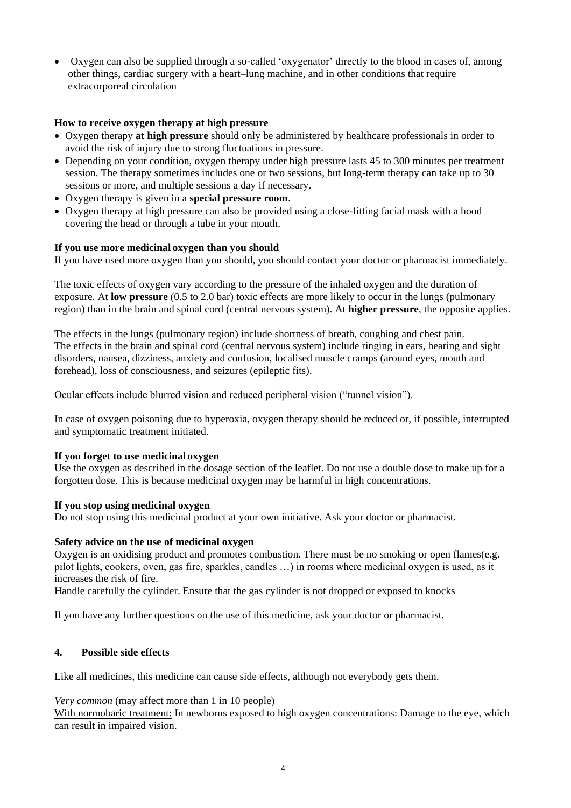Oxygen can also be supplied through a so-called 'oxygenator' directly to the blood in cases of, among other things, cardiac surgery with a heart–lung machine, and in other conditions that require extracorporeal circulation

## **How to receive oxygen therapy at high pressure**

- Oxygen therapy **at high pressure** should only be administered by healthcare professionals in order to avoid the risk of injury due to strong fluctuations in pressure.
- Depending on your condition, oxygen therapy under high pressure lasts 45 to 300 minutes per treatment session. The therapy sometimes includes one or two sessions, but long-term therapy can take up to 30 sessions or more, and multiple sessions a day if necessary.
- Oxygen therapy is given in a **special pressure room**.
- Oxygen therapy at high pressure can also be provided using a close-fitting facial mask with a hood covering the head or through a tube in your mouth.

## **If you use more medicinal oxygen than you should**

If you have used more oxygen than you should, you should contact your doctor or pharmacist immediately.

The toxic effects of oxygen vary according to the pressure of the inhaled oxygen and the duration of exposure. At **low pressure** (0.5 to 2.0 bar) toxic effects are more likely to occur in the lungs (pulmonary region) than in the brain and spinal cord (central nervous system). At **higher pressure**, the opposite applies.

The effects in the lungs (pulmonary region) include shortness of breath, coughing and chest pain. The effects in the brain and spinal cord (central nervous system) include ringing in ears, hearing and sight disorders, nausea, dizziness, anxiety and confusion, localised muscle cramps (around eyes, mouth and forehead), loss of consciousness, and seizures (epileptic fits).

Ocular effects include blurred vision and reduced peripheral vision ("tunnel vision").

In case of oxygen poisoning due to hyperoxia, oxygen therapy should be reduced or, if possible, interrupted and symptomatic treatment initiated.

### **If you forget to use medicinal oxygen**

Use the oxygen as described in the dosage section of the leaflet. Do not use a double dose to make up for a forgotten dose. This is because medicinal oxygen may be harmful in high concentrations.

### **If you stop using medicinal oxygen**

Do not stop using this medicinal product at your own initiative. Ask your doctor or pharmacist.

### **Safety advice on the use of medicinal oxygen**

Oxygen is an oxidising product and promotes combustion. There must be no smoking or open flames(e.g. pilot lights, cookers, oven, gas fire, sparkles, candles …) in rooms where medicinal oxygen is used, as it increases the risk of fire.

Handle carefully the cylinder. Ensure that the gas cylinder is not dropped or exposed to knocks

If you have any further questions on the use of this medicine, ask your doctor or pharmacist.

### **4. Possible side effects**

Like all medicines, this medicine can cause side effects, although not everybody gets them.

### *Very common* (may affect more than 1 in 10 people)

With normobaric treatment: In newborns exposed to high oxygen concentrations: Damage to the eye, which can result in impaired vision.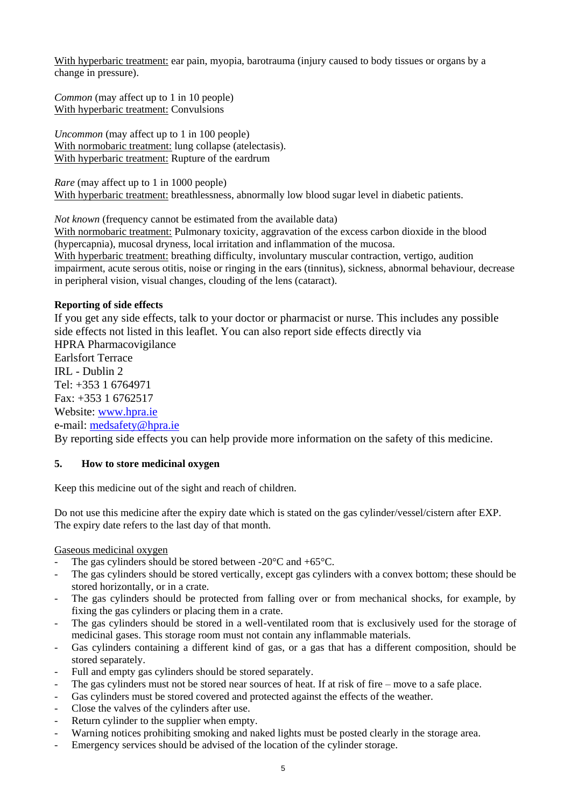With hyperbaric treatment: ear pain, myopia, barotrauma (injury caused to body tissues or organs by a change in pressure).

*Common* (may affect up to 1 in 10 people) With hyperbaric treatment: Convulsions

*Uncommon* (may affect up to 1 in 100 people) With normobaric treatment: lung collapse (atelectasis). With hyperbaric treatment: Rupture of the eardrum

*Rare* (may affect up to 1 in 1000 people) With hyperbaric treatment: breathlessness, abnormally low blood sugar level in diabetic patients.

*Not known* (frequency cannot be estimated from the available data)

With normobaric treatment: Pulmonary toxicity, aggravation of the excess carbon dioxide in the blood (hypercapnia), mucosal dryness, local irritation and inflammation of the mucosa. With hyperbaric treatment: breathing difficulty, involuntary muscular contraction, vertigo, audition

impairment, acute serous otitis, noise or ringing in the ears (tinnitus), sickness, abnormal behaviour, decrease in peripheral vision, visual changes, clouding of the lens (cataract).

## **Reporting of side effects**

If you get any side effects, talk to your doctor or pharmacist or nurse. This includes any possible side effects not listed in this leaflet. You can also report side effects directly via HPRA Pharmacovigilance Earlsfort Terrace IRL - Dublin 2  $Tel: +35316764971$ Fax: +353 1 6762517 Website: [www.hpra.ie](http://www.hpra.ie/) e-mail: [medsafety@hpra.ie](mailto:medsafety@hpra.ie)

By reporting side effects you can help provide more information on the safety of this medicine.

## **5. How to store medicinal oxygen**

Keep this medicine out of the sight and reach of children.

Do not use this medicine after the expiry date which is stated on the gas cylinder/vessel/cistern after EXP. The expiry date refers to the last day of that month.

## Gaseous medicinal oxygen

- The gas cylinders should be stored between  $-20^{\circ}$ C and  $+65^{\circ}$ C.
- The gas cylinders should be stored vertically, except gas cylinders with a convex bottom; these should be stored horizontally, or in a crate.
- The gas cylinders should be protected from falling over or from mechanical shocks, for example, by fixing the gas cylinders or placing them in a crate.
- The gas cylinders should be stored in a well-ventilated room that is exclusively used for the storage of medicinal gases. This storage room must not contain any inflammable materials.
- Gas cylinders containing a different kind of gas, or a gas that has a different composition, should be stored separately.
- Full and empty gas cylinders should be stored separately.
- The gas cylinders must not be stored near sources of heat. If at risk of fire move to a safe place.
- Gas cylinders must be stored covered and protected against the effects of the weather.
- Close the valves of the cylinders after use.
- Return cylinder to the supplier when empty.
- Warning notices prohibiting smoking and naked lights must be posted clearly in the storage area.
- Emergency services should be advised of the location of the cylinder storage.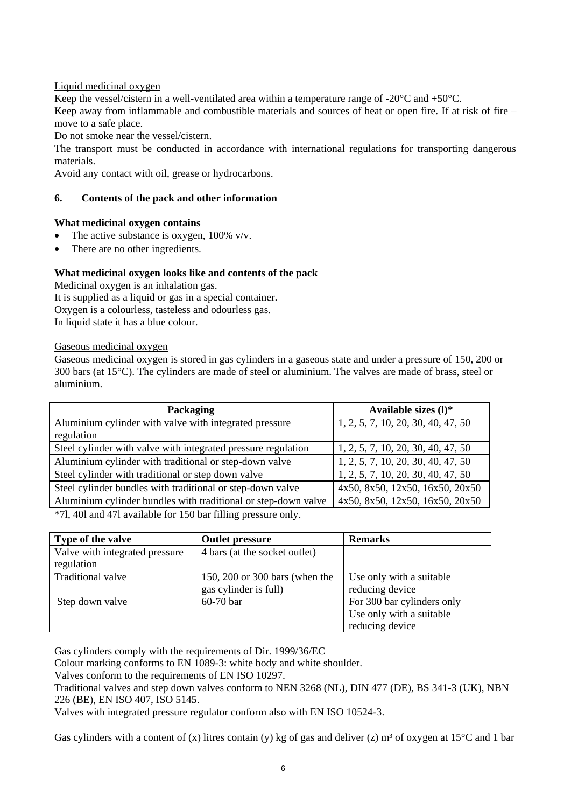## Liquid medicinal oxygen

Keep the vessel/cistern in a well-ventilated area within a temperature range of -20°C and +50°C.

Keep away from inflammable and combustible materials and sources of heat or open fire. If at risk of fire – move to a safe place.

Do not smoke near the vessel/cistern.

The transport must be conducted in accordance with international regulations for transporting dangerous materials.

Avoid any contact with oil, grease or hydrocarbons.

## **6. Contents of the pack and other information**

## **What medicinal oxygen contains**

- The active substance is oxygen, 100% v/v.
- There are no other ingredients.

## **What medicinal oxygen looks like and contents of the pack**

Medicinal oxygen is an inhalation gas. It is supplied as a liquid or gas in a special container. Oxygen is a colourless, tasteless and odourless gas. In liquid state it has a blue colour.

Gaseous medicinal oxygen

Gaseous medicinal oxygen is stored in gas cylinders in a gaseous state and under a pressure of 150, 200 or 300 bars (at 15°C). The cylinders are made of steel or aluminium. The valves are made of brass, steel or aluminium.

| Packaging                                                        | Available sizes $(l)^*$            |
|------------------------------------------------------------------|------------------------------------|
| Aluminium cylinder with valve with integrated pressure           | 1, 2, 5, 7, 10, 20, 30, 40, 47, 50 |
| regulation                                                       |                                    |
| Steel cylinder with valve with integrated pressure regulation    | 1, 2, 5, 7, 10, 20, 30, 40, 47, 50 |
| Aluminium cylinder with traditional or step-down valve           | 1, 2, 5, 7, 10, 20, 30, 40, 47, 50 |
| Steel cylinder with traditional or step down valve               | 1, 2, 5, 7, 10, 20, 30, 40, 47, 50 |
| Steel cylinder bundles with traditional or step-down valve       | 4x50, 8x50, 12x50, 16x50, 20x50    |
| Aluminium cylinder bundles with traditional or step-down valve   | 4x50, 8x50, 12x50, 16x50, 20x50    |
| $*71.401$ and $471$ evailable for $150$ has filling process only |                                    |

\*7l, 40l and 47l available for 150 bar filling pressure only.

| Type of the valve              | <b>Outlet pressure</b>         | <b>Remarks</b>             |
|--------------------------------|--------------------------------|----------------------------|
| Valve with integrated pressure | 4 bars (at the socket outlet)  |                            |
| regulation                     |                                |                            |
| <b>Traditional valve</b>       | 150, 200 or 300 bars (when the | Use only with a suitable   |
|                                | gas cylinder is full)          | reducing device            |
| Step down valve                | 60-70 bar                      | For 300 bar cylinders only |
|                                |                                | Use only with a suitable   |
|                                |                                | reducing device            |

Gas cylinders comply with the requirements of Dir. 1999/36/EC

Colour marking conforms to EN 1089-3: white body and white shoulder.

Valves conform to the requirements of EN ISO 10297.

Traditional valves and step down valves conform to NEN 3268 (NL), DIN 477 (DE), BS 341-3 (UK), NBN 226 (BE), EN ISO 407, ISO 5145.

Valves with integrated pressure regulator conform also with EN ISO 10524-3.

Gas cylinders with a content of (x) litres contain (y) kg of gas and deliver (z)  $m<sup>3</sup>$  of oxygen at 15<sup>°</sup>C and 1 bar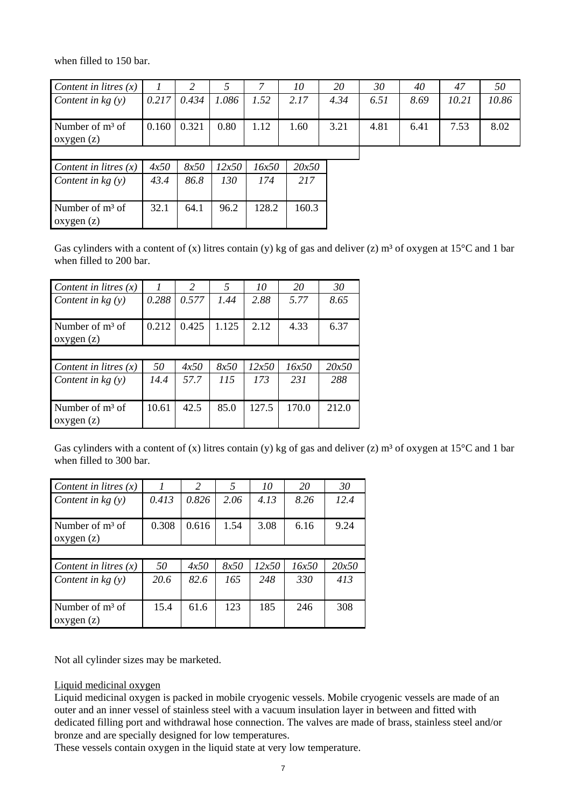when filled to 150 bar.

| Content in litres $(x)$                                 |        |               |                                              |               | 10        | 20   | 30   | 40   | 47    | 50    |
|---------------------------------------------------------|--------|---------------|----------------------------------------------|---------------|-----------|------|------|------|-------|-------|
| Content in $kg(y)$                                      | 0.217  | 0.434         | 1.086                                        | 1.52          | 2.17      | 4.34 | 6.51 | 8.69 | 10.21 | 10.86 |
| Number of $m3$ of<br>oxygen(z)                          | 0.160  | 0.321         | 0.80                                         | 1.12          | 1.60      | 3.21 | 4.81 | 6.41 | 7.53  | 8.02  |
| $\sim$ $\sim$ $\sim$ $\sim$ $\sim$ $\sim$ $\sim$ $\sim$ | $\sim$ | $\cap$ $\cap$ | $\mathbf{z} \cap \mathbf{z} \cap \mathbf{z}$ | $\tau$ $\tau$ | $20 - 50$ |      |      |      |       |       |

| Content in litres $(x)$ | 4x50 | 8x50 | 12x50 | 16x50 | 20x50 |
|-------------------------|------|------|-------|-------|-------|
| Content in $kg(y)$      | 43.4 | 86.8 | 130   | 174   | 217   |
|                         |      |      |       |       |       |
|                         |      |      |       |       |       |
| Number of $m3$ of       | 32.1 | 64.1 | 96.2  | 128.2 | 160.3 |
| oxygen(z)               |      |      |       |       |       |

Gas cylinders with a content of (x) litres contain (y) kg of gas and deliver (z)  $m^3$  of oxygen at 15<sup>o</sup>C and 1 bar when filled to 200 bar.

| Content in litres $(x)$        |       | 2     | .5    | 10    | 20    | 30    |
|--------------------------------|-------|-------|-------|-------|-------|-------|
| Content in $kg(y)$             | 0.288 | 0.577 | 1.44  | 2.88  | 5.77  | 8.65  |
| Number of $m3$ of<br>oxygen(z) | 0.212 | 0.425 | 1.125 | 2.12  | 4.33  | 6.37  |
|                                |       |       |       |       |       |       |
| Content in litres $(x)$        | 50    | 4x50  | 8x50  | 12x50 | 16x50 | 20x50 |
| Content in $kg(y)$             | 14.4  | 57.7  | 115   | 173   | 231   | 288   |
| Number of $m3$ of<br>oxygen(z) | 10.61 | 42.5  | 85.0  | 127.5 | 170.0 | 212.0 |

Gas cylinders with a content of (x) litres contain (y) kg of gas and deliver (z)  $m^3$  of oxygen at 15°C and 1 bar when filled to 300 bar.

| Content in litres $(x)$        |       | $\mathcal{L}$ | 5    | 10    | 20    | 30    |
|--------------------------------|-------|---------------|------|-------|-------|-------|
| Content in $kg(y)$             | 0.413 | 0.826         | 2.06 | 4.13  | 8.26  | 12.4  |
| Number of $m3$ of<br>oxygen(z) | 0.308 | 0.616         | 1.54 | 3.08  | 6.16  | 9.24  |
|                                |       |               |      |       |       |       |
| Content in litres $(x)$        | 50    | 4x50          | 8x50 | 12x50 | 16x50 | 20x50 |
| Content in $kg(y)$             | 20.6  | 82.6          | 165  | 248   | 330   | 413   |
| Number of $m3$ of<br>oxygen(z) | 15.4  | 61.6          | 123  | 185   | 246   | 308   |

Not all cylinder sizes may be marketed.

Liquid medicinal oxygen

Liquid medicinal oxygen is packed in mobile cryogenic vessels. Mobile cryogenic vessels are made of an outer and an inner vessel of stainless steel with a vacuum insulation layer in between and fitted with dedicated filling port and withdrawal hose connection. The valves are made of brass, stainless steel and/or bronze and are specially designed for low temperatures.

These vessels contain oxygen in the liquid state at very low temperature.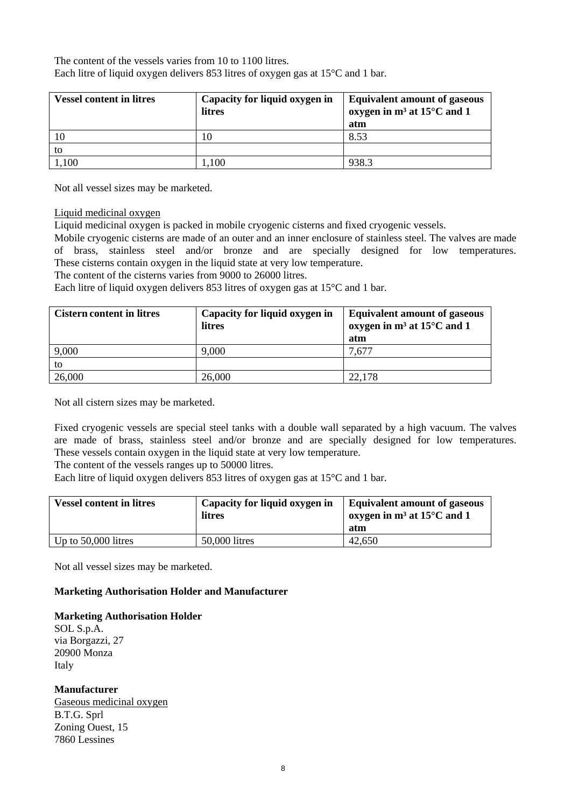The content of the vessels varies from 10 to 1100 litres. Each litre of liquid oxygen delivers 853 litres of oxygen gas at 15°C and 1 bar.

| <b>Vessel content in litres</b> | Capacity for liquid oxygen in<br>litres | <b>Equivalent amount of gaseous</b><br>oxygen in $m^3$ at 15 $\degree$ C and 1<br>atm |
|---------------------------------|-----------------------------------------|---------------------------------------------------------------------------------------|
| 10                              |                                         | 8.53                                                                                  |
| to                              |                                         |                                                                                       |
| 1,100                           | .100                                    | 938.3                                                                                 |

Not all vessel sizes may be marketed.

#### Liquid medicinal oxygen

Liquid medicinal oxygen is packed in mobile cryogenic cisterns and fixed cryogenic vessels.

Mobile cryogenic cisterns are made of an outer and an inner enclosure of stainless steel. The valves are made of brass, stainless steel and/or bronze and are specially designed for low temperatures. These cisterns contain oxygen in the liquid state at very low temperature.

The content of the cisterns varies from 9000 to 26000 litres.

Each litre of liquid oxygen delivers 853 litres of oxygen gas at 15°C and 1 bar.

| <b>Cistern content in litres</b> | Capacity for liquid oxygen in<br>litres | <b>Equivalent amount of gaseous</b><br>oxygen in $m^3$ at 15 $\degree$ C and 1<br>atm |
|----------------------------------|-----------------------------------------|---------------------------------------------------------------------------------------|
| 9,000                            | 9,000                                   | 7,677                                                                                 |
| to                               |                                         |                                                                                       |
| 26,000                           | 26,000                                  | 22,178                                                                                |

Not all cistern sizes may be marketed.

Fixed cryogenic vessels are special steel tanks with a double wall separated by a high vacuum. The valves are made of brass, stainless steel and/or bronze and are specially designed for low temperatures. These vessels contain oxygen in the liquid state at very low temperature.

The content of the vessels ranges up to 50000 litres.

Each litre of liquid oxygen delivers 853 litres of oxygen gas at 15°C and 1 bar.

| <b>Vessel content in litres</b> | Capacity for liquid oxygen in<br>litres | <b>Equivalent amount of gaseous</b><br>oxygen in $m^3$ at 15 $\degree$ C and 1<br>atm |
|---------------------------------|-----------------------------------------|---------------------------------------------------------------------------------------|
| Up to $50,000$ litres           | 50,000 litres                           | 42,650                                                                                |

Not all vessel sizes may be marketed.

### **Marketing Authorisation Holder and Manufacturer**

**Marketing Authorisation Holder**

SOL S.p.A. via Borgazzi, 27 20900 Monza Italy

**Manufacturer** Gaseous medicinal oxygen B.T.G. Sprl Zoning Ouest, 15 7860 Lessines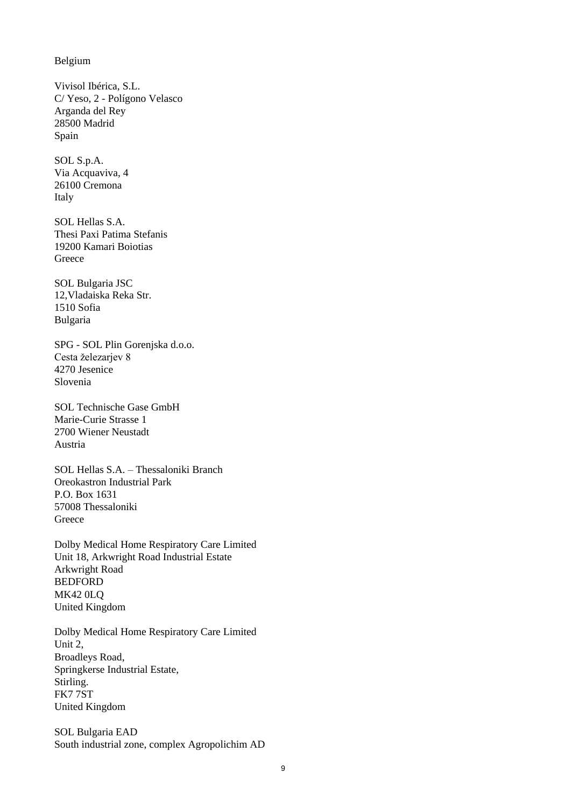Belgium

Vivisol Ibérica, S.L. C/ Yeso, 2 - Polígono Velasco Arganda del Rey 28500 Madrid Spain

SOL S.p.A. Via Acquaviva, 4 26100 Cremona Italy

SOL Hellas S.A. Thesi Paxi Patima Stefanis 19200 Kamari Boiotias **Greece** 

SOL Bulgaria JSC 12,Vladaiska Reka Str. 1510 Sofia Bulgaria

SPG - SOL Plin Gorenjska d.o.o. Cesta železarjev 8 4270 Jesenice Slovenia

SOL Technische Gase GmbH Marie-Curie Strasse 1 2700 Wiener Neustadt Austria

SOL Hellas S.A. – Thessaloniki Branch Oreokastron Industrial Park P.O. Box 1631 57008 Thessaloniki **Greece** 

Dolby Medical Home Respiratory Care Limited Unit 18, Arkwright Road Industrial Estate Arkwright Road BEDFORD MK42 0LQ United Kingdom

Dolby Medical Home Respiratory Care Limited Unit 2, Broadleys Road, Springkerse Industrial Estate, Stirling. FK7 7ST United Kingdom

SOL Bulgaria EAD South industrial zone, complex Agropolichim AD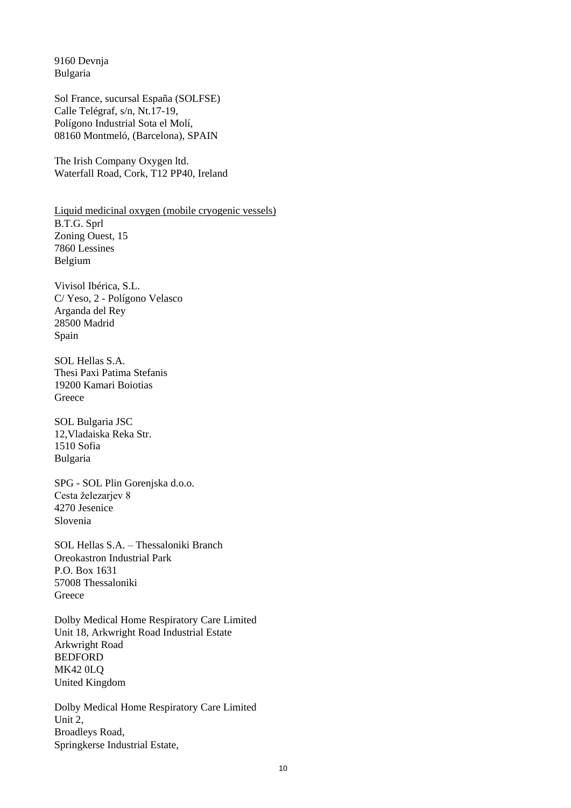9160 Devnja Bulgaria

Sol France, sucursal España (SOLFSE) Calle Telégraf, s/n, Nt.17-19, Polígono Industrial Sota el Molí, 08160 Montmeló, (Barcelona), SPAIN

The Irish Company Oxygen ltd. Waterfall Road, Cork, T12 PP40, Ireland

Liquid medicinal oxygen (mobile cryogenic vessels) B.T.G. Sprl Zoning Ouest, 15 7860 Lessines Belgium

Vivisol Ibérica, S.L. C/ Yeso, 2 - Polígono Velasco Arganda del Rey 28500 Madrid Spain

SOL Hellas S.A. Thesi Paxi Patima Stefanis 19200 Kamari Boiotias Greece

SOL Bulgaria JSC 12,Vladaiska Reka Str. 1510 Sofia Bulgaria

SPG - SOL Plin Gorenjska d.o.o. Cesta železarjev 8 4270 Jesenice Slovenia

SOL Hellas S.A. – Thessaloniki Branch Oreokastron Industrial Park P.O. Box 1631 57008 Thessaloniki **Greece** 

Dolby Medical Home Respiratory Care Limited Unit 18, Arkwright Road Industrial Estate Arkwright Road **BEDFORD** MK42 0LQ United Kingdom

Dolby Medical Home Respiratory Care Limited Unit 2, Broadleys Road, Springkerse Industrial Estate,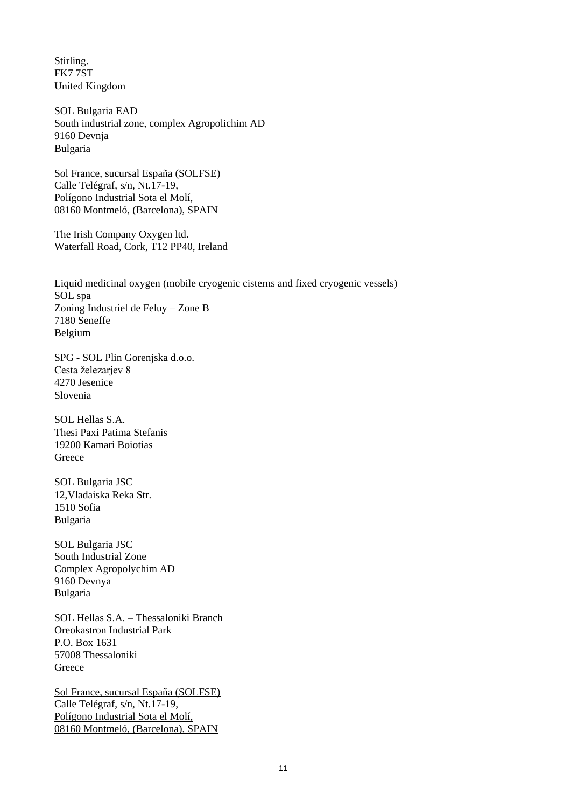Stirling. FK7 7ST United Kingdom

SOL Bulgaria EAD South industrial zone, complex Agropolichim AD 9160 Devnja Bulgaria

Sol France, sucursal España (SOLFSE) Calle Telégraf, s/n, Nt.17-19, Polígono Industrial Sota el Molí, 08160 Montmeló, (Barcelona), SPAIN

The Irish Company Oxygen ltd. Waterfall Road, Cork, T12 PP40, Ireland

Liquid medicinal oxygen (mobile cryogenic cisterns and fixed cryogenic vessels) SOL spa Zoning Industriel de Feluy – Zone B 7180 Seneffe Belgium

SPG - SOL Plin Gorenjska d.o.o. Cesta železarjev 8 4270 Jesenice Slovenia

SOL Hellas S.A. Thesi Paxi Patima Stefanis 19200 Kamari Boiotias **Greece** 

SOL Bulgaria JSC 12,Vladaiska Reka Str. 1510 Sofia Bulgaria

SOL Bulgaria JSC South Industrial Zone Complex Agropolychim AD 9160 Devnya Bulgaria

SOL Hellas S.A. – Thessaloniki Branch Oreokastron Industrial Park P.O. Box 1631 57008 Thessaloniki Greece

Sol France, sucursal España (SOLFSE) Calle Telégraf, s/n, Nt.17-19, Polígono Industrial Sota el Molí, 08160 Montmeló, (Barcelona), SPAIN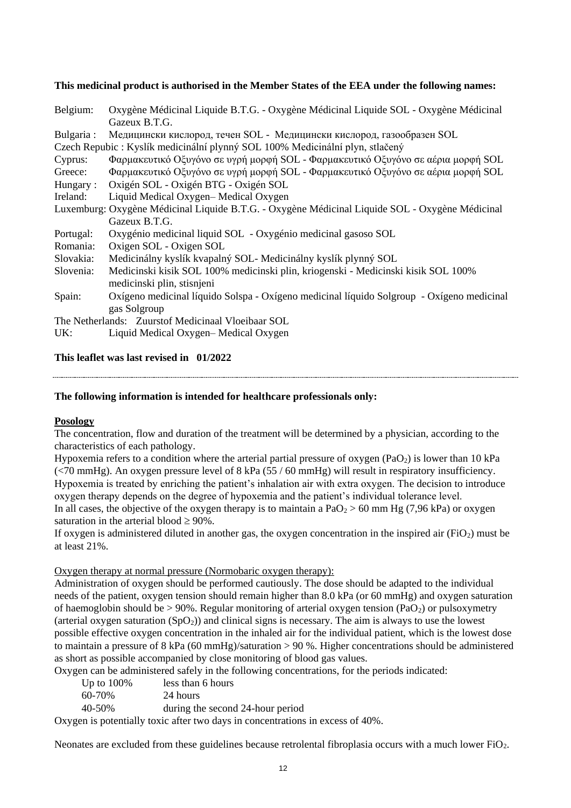### **This medicinal product is authorised in the Member States of the EEA under the following names:**

| Belgium:   | Oxygène Médicinal Liquide B.T.G. - Oxygène Médicinal Liquide SOL - Oxygène Médicinal            |
|------------|-------------------------------------------------------------------------------------------------|
|            | Gazeux B.T.G.                                                                                   |
| Bulgaria : | Медицински кислород, течен SOL - Медицински кислород, газообразен SOL                           |
|            | Czech Repubic : Kyslík medicinální plynný SOL 100% Medicinální plyn, stlačený                   |
| Cyprus:    | Φαρμακευτικό Οξυγόνο σε υγρή μορφή SOL - Φαρμακευτικό Οξυγόνο σε αέρια μορφή SOL                |
| Greece:    | Φαρμακευτικό Οξυγόνο σε υγρή μορφή SOL - Φαρμακευτικό Οξυγόνο σε αέρια μορφή SOL                |
| Hungary:   | Oxigén SOL - Oxigén BTG - Oxigén SOL                                                            |
| Ireland:   | Liquid Medical Oxygen-Medical Oxygen                                                            |
|            | Luxemburg: Oxygène Médicinal Liquide B.T.G. - Oxygène Médicinal Liquide SOL - Oxygène Médicinal |
|            | Gazeux B.T.G.                                                                                   |
| Portugal:  | Oxygénio medicinal liquid SOL - Oxygénio medicinal gasoso SOL                                   |
| Romania:   | Oxigen SOL - Oxigen SOL                                                                         |
| Slovakia:  | Medicinálny kyslík kvapalný SOL- Medicinálny kyslík plynný SOL                                  |
| Slovenia:  | Medicinski kisik SOL 100% medicinski plin, kriogenski - Medicinski kisik SOL 100%               |
|            | medicinski plin, stisnjeni                                                                      |
| Spain:     | Oxígeno medicinal líquido Solspa - Oxígeno medicinal líquido Solgroup - Oxígeno medicinal       |
|            | gas Solgroup                                                                                    |
|            | The Netherlands: Zuurstof Medicinaal Vloeibaar SOL                                              |
| UK:        | Liquid Medical Oxygen-Medical Oxygen                                                            |
|            |                                                                                                 |

**This leaflet was last revised in 01/2022**

### **The following information is intended for healthcare professionals only:**

### **Posology**

The concentration, flow and duration of the treatment will be determined by a physician, according to the characteristics of each pathology.

Hypoxemia refers to a condition where the arterial partial pressure of oxygen (PaO<sub>2</sub>) is lower than 10 kPa (<70 mmHg). An oxygen pressure level of 8 kPa (55 / 60 mmHg) will result in respiratory insufficiency. Hypoxemia is treated by enriching the patient's inhalation air with extra oxygen. The decision to introduce oxygen therapy depends on the degree of hypoxemia and the patient's individual tolerance level. In all cases, the objective of the oxygen therapy is to maintain a  $PaO<sub>2</sub> > 60$  mm Hg (7,96 kPa) or oxygen saturation in the arterial blood  $\geq 90\%$ .

If oxygen is administered diluted in another gas, the oxygen concentration in the inspired air (FiO<sub>2</sub>) must be at least 21%.

### Oxygen therapy at normal pressure (Normobaric oxygen therapy):

Administration of oxygen should be performed cautiously. The dose should be adapted to the individual needs of the patient, oxygen tension should remain higher than 8.0 kPa (or 60 mmHg) and oxygen saturation of haemoglobin should be  $> 90\%$ . Regular monitoring of arterial oxygen tension (PaO<sub>2</sub>) or pulsoxymetry (arterial oxygen saturation  $(SpO<sub>2</sub>)$ ) and clinical signs is necessary. The aim is always to use the lowest possible effective oxygen concentration in the inhaled air for the individual patient, which is the lowest dose to maintain a pressure of 8 kPa (60 mmHg)/saturation > 90 %. Higher concentrations should be administered as short as possible accompanied by close monitoring of blood gas values.

Oxygen can be administered safely in the following concentrations, for the periods indicated:

| Up to $100\%$ | less than 6 hours                |
|---------------|----------------------------------|
| 60-70%        | 24 hours                         |
| 40-50%        | during the second 24-hour period |

Oxygen is potentially toxic after two days in concentrations in excess of 40%.

Neonates are excluded from these guidelines because retrolental fibroplasia occurs with a much lower FiO<sub>2</sub>.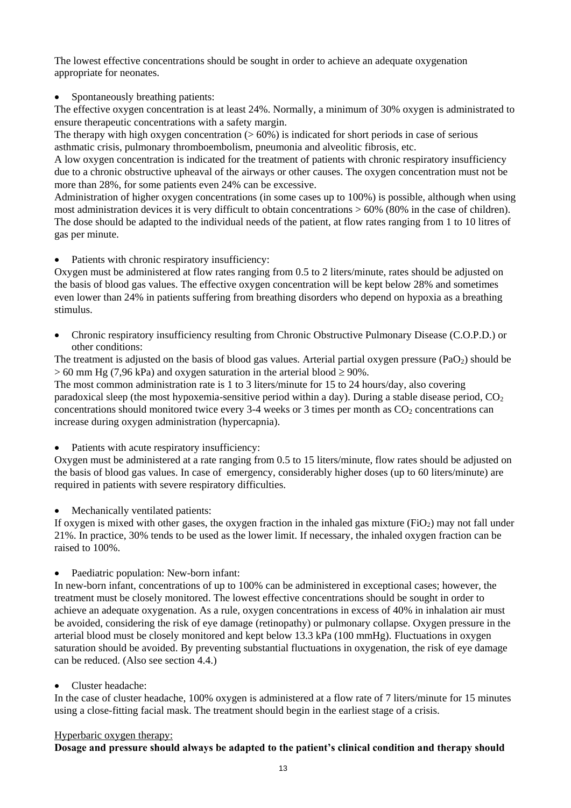The lowest effective concentrations should be sought in order to achieve an adequate oxygenation appropriate for neonates.

Spontaneously breathing patients:

The effective oxygen concentration is at least 24%. Normally, a minimum of 30% oxygen is administrated to ensure therapeutic concentrations with a safety margin.

The therapy with high oxygen concentration  $(> 60\%)$  is indicated for short periods in case of serious asthmatic crisis, pulmonary thromboembolism, pneumonia and alveolitic fibrosis, etc.

A low oxygen concentration is indicated for the treatment of patients with chronic respiratory insufficiency due to a chronic obstructive upheaval of the airways or other causes. The oxygen concentration must not be more than 28%, for some patients even 24% can be excessive.

Administration of higher oxygen concentrations (in some cases up to 100%) is possible, although when using most administration devices it is very difficult to obtain concentrations > 60% (80% in the case of children). The dose should be adapted to the individual needs of the patient, at flow rates ranging from 1 to 10 litres of gas per minute.

Patients with chronic respiratory insufficiency:

Oxygen must be administered at flow rates ranging from 0.5 to 2 liters/minute, rates should be adjusted on the basis of blood gas values. The effective oxygen concentration will be kept below 28% and sometimes even lower than 24% in patients suffering from breathing disorders who depend on hypoxia as a breathing stimulus.

 Chronic respiratory insufficiency resulting from Chronic Obstructive Pulmonary Disease (C.O.P.D.) or other conditions:

The treatment is adjusted on the basis of blood gas values. Arterial partial oxygen pressure ( $PaO<sub>2</sub>$ ) should be  $> 60$  mm Hg (7,96 kPa) and oxygen saturation in the arterial blood  $\geq 90\%$ .

The most common administration rate is 1 to 3 liters/minute for 15 to 24 hours/day, also covering paradoxical sleep (the most hypoxemia-sensitive period within a day). During a stable disease period,  $CO<sub>2</sub>$ concentrations should monitored twice every 3-4 weeks or 3 times per month as  $CO<sub>2</sub>$  concentrations can increase during oxygen administration (hypercapnia).

• Patients with acute respiratory insufficiency:

Oxygen must be administered at a rate ranging from 0.5 to 15 liters/minute, flow rates should be adjusted on the basis of blood gas values. In case of emergency, considerably higher doses (up to 60 liters/minute) are required in patients with severe respiratory difficulties.

Mechanically ventilated patients:

If oxygen is mixed with other gases, the oxygen fraction in the inhaled gas mixture ( $FiO<sub>2</sub>$ ) may not fall under 21%. In practice, 30% tends to be used as the lower limit. If necessary, the inhaled oxygen fraction can be raised to 100%.

• Paediatric population: New-born infant:

In new-born infant, concentrations of up to 100% can be administered in exceptional cases; however, the treatment must be closely monitored. The lowest effective concentrations should be sought in order to achieve an adequate oxygenation. As a rule, oxygen concentrations in excess of 40% in inhalation air must be avoided, considering the risk of eye damage (retinopathy) or pulmonary collapse. Oxygen pressure in the arterial blood must be closely monitored and kept below 13.3 kPa (100 mmHg). Fluctuations in oxygen saturation should be avoided. By preventing substantial fluctuations in oxygenation, the risk of eye damage can be reduced. (Also see section 4.4.)

Cluster headache:

In the case of cluster headache, 100% oxygen is administered at a flow rate of 7 liters/minute for 15 minutes using a close-fitting facial mask. The treatment should begin in the earliest stage of a crisis.

### Hyperbaric oxygen therapy:

**Dosage and pressure should always be adapted to the patient's clinical condition and therapy should**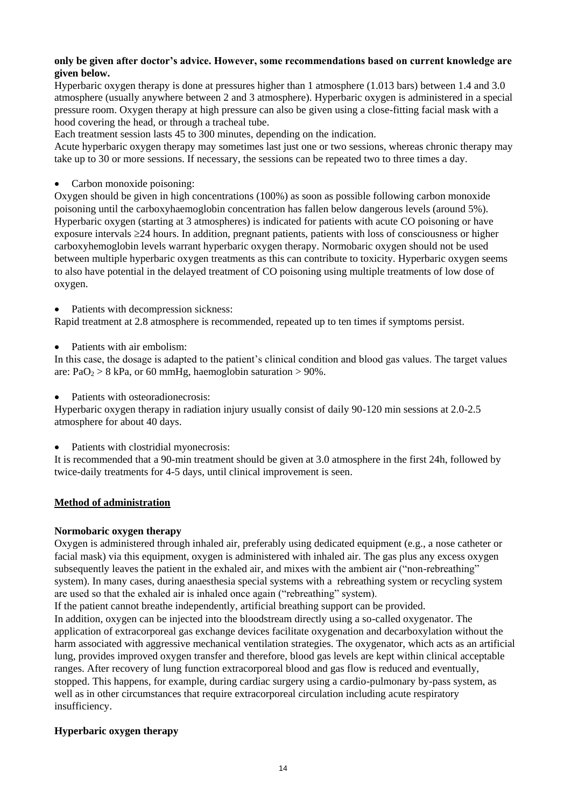### **only be given after doctor's advice. However, some recommendations based on current knowledge are given below.**

Hyperbaric oxygen therapy is done at pressures higher than 1 atmosphere (1.013 bars) between 1.4 and 3.0 atmosphere (usually anywhere between 2 and 3 atmosphere). Hyperbaric oxygen is administered in a special pressure room. Oxygen therapy at high pressure can also be given using a close-fitting facial mask with a hood covering the head, or through a tracheal tube.

Each treatment session lasts 45 to 300 minutes, depending on the indication.

Acute hyperbaric oxygen therapy may sometimes last just one or two sessions, whereas chronic therapy may take up to 30 or more sessions. If necessary, the sessions can be repeated two to three times a day.

Carbon monoxide poisoning:

Oxygen should be given in high concentrations (100%) as soon as possible following carbon monoxide poisoning until the carboxyhaemoglobin concentration has fallen below dangerous levels (around 5%). Hyperbaric oxygen (starting at 3 atmospheres) is indicated for patients with acute CO poisoning or have exposure intervals  $\geq$  24 hours. In addition, pregnant patients, patients with loss of consciousness or higher carboxyhemoglobin levels warrant hyperbaric oxygen therapy. Normobaric oxygen should not be used between multiple hyperbaric oxygen treatments as this can contribute to toxicity. Hyperbaric oxygen seems to also have potential in the delayed treatment of CO poisoning using multiple treatments of low dose of oxygen.

• Patients with decompression sickness:

Rapid treatment at 2.8 atmosphere is recommended, repeated up to ten times if symptoms persist.

Patients with air embolism:

In this case, the dosage is adapted to the patient's clinical condition and blood gas values. The target values are:  $PaO<sub>2</sub> > 8$  kPa, or 60 mmHg, haemoglobin saturation  $> 90\%$ .

• Patients with osteoradionecrosis:

Hyperbaric oxygen therapy in radiation injury usually consist of daily 90-120 min sessions at 2.0-2.5 atmosphere for about 40 days.

• Patients with clostridial myonecrosis:

It is recommended that a 90-min treatment should be given at 3.0 atmosphere in the first 24h, followed by twice-daily treatments for 4-5 days, until clinical improvement is seen.

## **Method of administration**

### **Normobaric oxygen therapy**

Oxygen is administered through inhaled air, preferably using dedicated equipment (e.g., a nose catheter or facial mask) via this equipment, oxygen is administered with inhaled air. The gas plus any excess oxygen subsequently leaves the patient in the exhaled air, and mixes with the ambient air ("non-rebreathing" system). In many cases, during anaesthesia special systems with a rebreathing system or recycling system are used so that the exhaled air is inhaled once again ("rebreathing" system).

If the patient cannot breathe independently, artificial breathing support can be provided.

In addition, oxygen can be injected into the bloodstream directly using a so-called oxygenator. The application of extracorporeal gas exchange devices facilitate oxygenation and decarboxylation without the harm associated with aggressive mechanical ventilation strategies. The oxygenator, which acts as an artificial lung, provides improved oxygen transfer and therefore, blood gas levels are kept within clinical acceptable ranges. After recovery of lung function extracorporeal blood and gas flow is reduced and eventually, stopped. This happens, for example, during cardiac surgery using a cardio-pulmonary by-pass system, as well as in other circumstances that require extracorporeal circulation including acute respiratory insufficiency.

### **Hyperbaric oxygen therapy**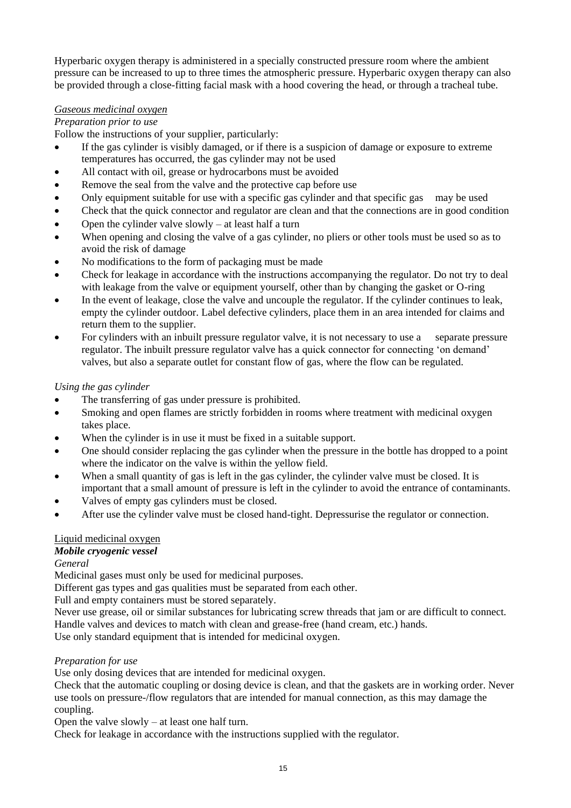Hyperbaric oxygen therapy is administered in a specially constructed pressure room where the ambient pressure can be increased to up to three times the atmospheric pressure. Hyperbaric oxygen therapy can also be provided through a close-fitting facial mask with a hood covering the head, or through a tracheal tube.

## *Gaseous medicinal oxygen*

## *Preparation prior to use*

Follow the instructions of your supplier, particularly:

- If the gas cylinder is visibly damaged, or if there is a suspicion of damage or exposure to extreme temperatures has occurred, the gas cylinder may not be used
- All contact with oil, grease or hydrocarbons must be avoided
- Remove the seal from the valve and the protective cap before use
- Only equipment suitable for use with a specific gas cylinder and that specific gas may be used
- Check that the quick connector and regulator are clean and that the connections are in good condition
- Open the cylinder valve slowly  $-$  at least half a turn
- When opening and closing the valve of a gas cylinder, no pliers or other tools must be used so as to avoid the risk of damage
- No modifications to the form of packaging must be made
- Check for leakage in accordance with the instructions accompanying the regulator. Do not try to deal with leakage from the valve or equipment yourself, other than by changing the gasket or O-ring
- In the event of leakage, close the valve and uncouple the regulator. If the cylinder continues to leak, empty the cylinder outdoor. Label defective cylinders, place them in an area intended for claims and return them to the supplier.
- For cylinders with an inbuilt pressure regulator valve, it is not necessary to use a separate pressure regulator. The inbuilt pressure regulator valve has a quick connector for connecting 'on demand' valves, but also a separate outlet for constant flow of gas, where the flow can be regulated.

## *Using the gas cylinder*

- The transferring of gas under pressure is prohibited.
- Smoking and open flames are strictly forbidden in rooms where treatment with medicinal oxygen takes place.
- When the cylinder is in use it must be fixed in a suitable support.
- One should consider replacing the gas cylinder when the pressure in the bottle has dropped to a point where the indicator on the valve is within the yellow field.
- When a small quantity of gas is left in the gas cylinder, the cylinder valve must be closed. It is important that a small amount of pressure is left in the cylinder to avoid the entrance of contaminants.
- Valves of empty gas cylinders must be closed.
- After use the cylinder valve must be closed hand-tight. Depressurise the regulator or connection.

## Liquid medicinal oxygen

# *Mobile cryogenic vessel*

*General* 

Medicinal gases must only be used for medicinal purposes.

Different gas types and gas qualities must be separated from each other.

Full and empty containers must be stored separately.

Never use grease, oil or similar substances for lubricating screw threads that jam or are difficult to connect. Handle valves and devices to match with clean and grease-free (hand cream, etc.) hands.

Use only standard equipment that is intended for medicinal oxygen.

### *Preparation for use*

Use only dosing devices that are intended for medicinal oxygen.

Check that the automatic coupling or dosing device is clean, and that the gaskets are in working order. Never use tools on pressure-/flow regulators that are intended for manual connection, as this may damage the coupling.

Open the valve slowly – at least one half turn.

Check for leakage in accordance with the instructions supplied with the regulator.